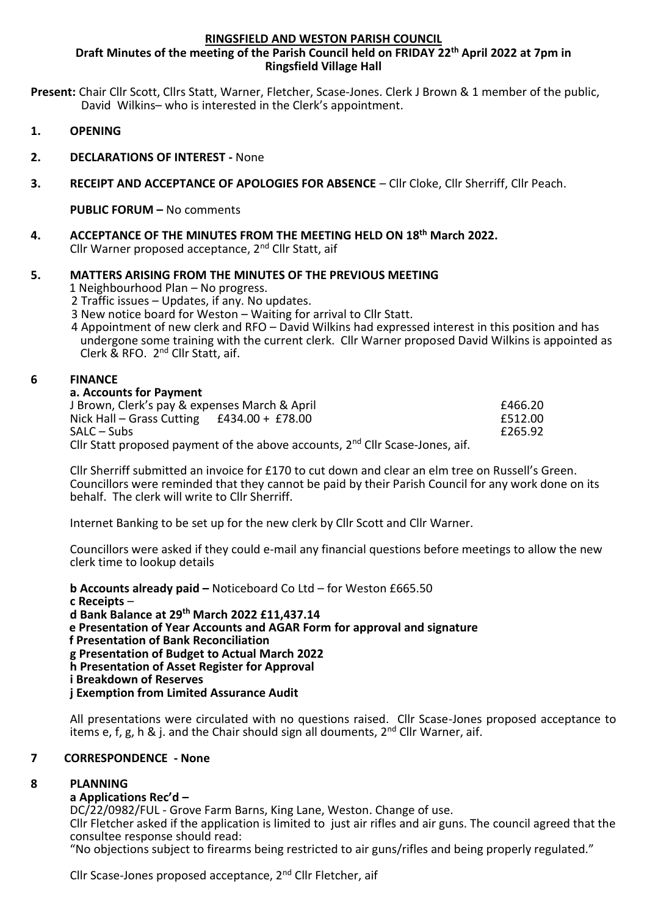#### **RINGSFIELD AND WESTON PARISH COUNCIL**

#### **Draft Minutes of the meeting of the Parish Council held on FRIDAY 22th April 2022 at 7pm in Ringsfield Village Hall**

**Present:** Chair Cllr Scott, Cllrs Statt, Warner, Fletcher, Scase-Jones. Clerk J Brown & 1 member of the public, David Wilkins– who is interested in the Clerk's appointment.

- **1. OPENING**
- **2. DECLARATIONS OF INTEREST -** None
- **3. RECEIPT AND ACCEPTANCE OF APOLOGIES FOR ABSENCE** Cllr Cloke, Cllr Sherriff, Cllr Peach.

**PUBLIC FORUM –** No comments

**4. ACCEPTANCE OF THE MINUTES FROM THE MEETING HELD ON 18th March 2022.** Cllr Warner proposed acceptance, 2nd Cllr Statt, aif

# **5. MATTERS ARISING FROM THE MINUTES OF THE PREVIOUS MEETING**

1 Neighbourhood Plan – No progress.

2 Traffic issues – Updates, if any. No updates.

- 3 New notice board for Weston Waiting for arrival to Cllr Statt.
- 4 Appointment of new clerk and RFO David Wilkins had expressed interest in this position and has undergone some training with the current clerk. Cllr Warner proposed David Wilkins is appointed as Clerk & RFO. 2<sup>nd</sup> Cllr Statt, aif.

## **6 FINANCE**

#### **a. Accounts for Payment**

| £466.20 |
|---------|
| £512.00 |
| £265.92 |
|         |
|         |

Cllr Sherriff submitted an invoice for £170 to cut down and clear an elm tree on Russell's Green. Councillors were reminded that they cannot be paid by their Parish Council for any work done on its behalf. The clerk will write to Cllr Sherriff.

Internet Banking to be set up for the new clerk by Cllr Scott and Cllr Warner.

Councillors were asked if they could e-mail any financial questions before meetings to allow the new clerk time to lookup details

**b Accounts already paid –** Noticeboard Co Ltd – for Weston £665.50 **c Receipts** – **d Bank Balance at 29 th March 2022 £11,437.14 e Presentation of Year Accounts and AGAR Form for approval and signature f Presentation of Bank Reconciliation g Presentation of Budget to Actual March 2022 h Presentation of Asset Register for Approval i Breakdown of Reserves j Exemption from Limited Assurance Audit**

All presentations were circulated with no questions raised. Cllr Scase-Jones proposed acceptance to items e, f, g, h & j. and the Chair should sign all douments, 2<sup>nd</sup> Cllr Warner, aif.

# **7 CORRESPONDENCE - None**

# **8 PLANNING**

# **a Applications Rec'd –**

DC/22/0982/FUL - Grove Farm Barns, King Lane, Weston. Change of use.

Cllr Fletcher asked if the application is limited to just air rifles and air guns. The council agreed that the consultee response should read:

"No objections subject to firearms being restricted to air guns/rifles and being properly regulated."

Cllr Scase-Jones proposed acceptance, 2<sup>nd</sup> Cllr Fletcher, aif